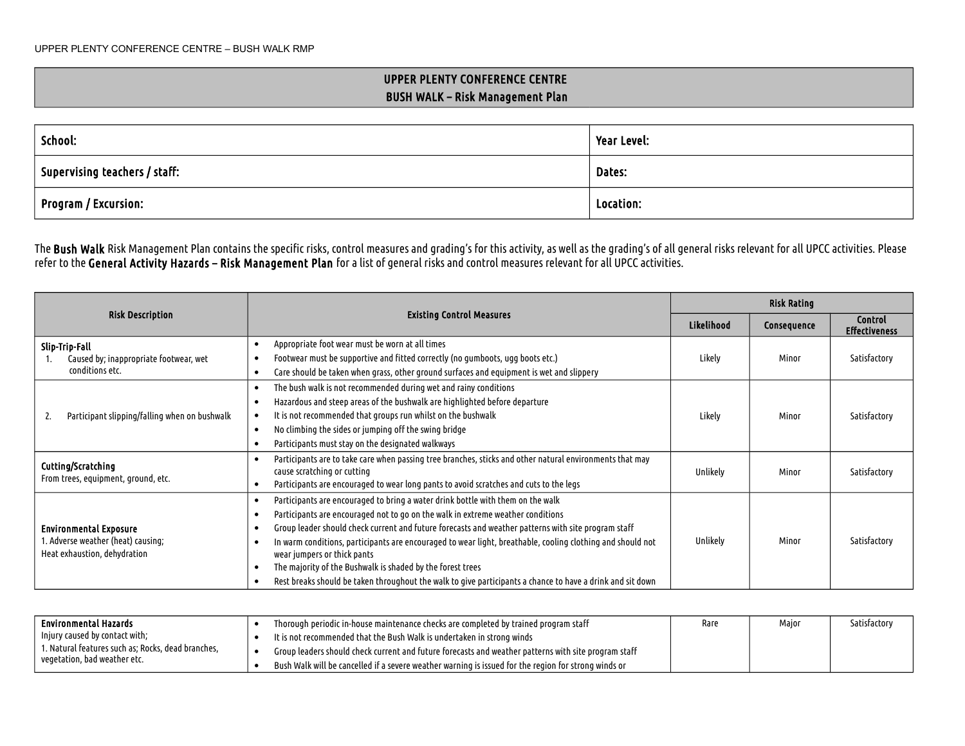## UPPER PLENTY CONFERENCE CENTRE BUSH WALK – Risk Management Plan

| School:                       | Year Level: |
|-------------------------------|-------------|
| Supervising teachers / staff: | Dates:      |
| Program / Excursion:          | Location:   |

The **Bush Walk** Risk Management Plan contains the specific risks, control measures and grading's for this activity, as well as the grading's of all general risks relevant for all UPCC activities. Please refer to the General Activity Hazards – Risk Management Plan for a list of general risks and control measures relevant for all UPCC activities.

|                                                                                                     |                                                                                                                                                                                                                                                                                                                                                                                                                                                                                                                                                                                                    | <b>Risk Rating</b> |             |                                        |
|-----------------------------------------------------------------------------------------------------|----------------------------------------------------------------------------------------------------------------------------------------------------------------------------------------------------------------------------------------------------------------------------------------------------------------------------------------------------------------------------------------------------------------------------------------------------------------------------------------------------------------------------------------------------------------------------------------------------|--------------------|-------------|----------------------------------------|
| <b>Risk Description</b>                                                                             | <b>Existing Control Measures</b>                                                                                                                                                                                                                                                                                                                                                                                                                                                                                                                                                                   | Likelihood         | Consequence | <b>Control</b><br><b>Effectiveness</b> |
| Slip-Trip-Fall<br>Caused by; inappropriate footwear, wet<br>conditions etc.                         | Appropriate foot wear must be worn at all times<br>Footwear must be supportive and fitted correctly (no gumboots, ugg boots etc.)<br>Care should be taken when grass, other ground surfaces and equipment is wet and slippery                                                                                                                                                                                                                                                                                                                                                                      | Likely             | Minor       | Satisfactory                           |
| Participant slipping/falling when on bushwalk                                                       | The bush walk is not recommended during wet and rainy conditions<br>Hazardous and steep areas of the bushwalk are highlighted before departure<br>It is not recommended that groups run whilst on the bushwalk<br>No climbing the sides or jumping off the swing bridge<br>Participants must stay on the designated walkways                                                                                                                                                                                                                                                                       | Likely             | Minor       | Satisfactory                           |
| Cutting/Scratching<br>From trees, equipment, ground, etc.                                           | Participants are to take care when passing tree branches, sticks and other natural environments that may<br>cause scratching or cutting<br>Participants are encouraged to wear long pants to avoid scratches and cuts to the legs                                                                                                                                                                                                                                                                                                                                                                  | Unlikely           | Minor       | Satisfactory                           |
| <b>Environmental Exposure</b><br>I. Adverse weather (heat) causing;<br>Heat exhaustion, dehydration | Participants are encouraged to bring a water drink bottle with them on the walk<br>Participants are encouraged not to go on the walk in extreme weather conditions<br>Group leader should check current and future forecasts and weather patterns with site program staff<br>In warm conditions, participants are encouraged to wear light, breathable, cooling clothing and should not<br>wear jumpers or thick pants<br>The majority of the Bushwalk is shaded by the forest trees<br>Rest breaks should be taken throughout the walk to give participants a chance to have a drink and sit down |                    | Minor       | Satisfactory                           |

| Environmental Hazards                              | Thorough periodic in-house maintenance checks are completed by trained program staff                 |  | Major | Satisfactory |
|----------------------------------------------------|------------------------------------------------------------------------------------------------------|--|-------|--------------|
| Injury caused by contact with;                     | It is not recommended that the Bush Walk is undertaken in strong winds                               |  |       |              |
| 1. Natural features such as; Rocks, dead branches, | Group leaders should check current and future forecasts and weather patterns with site program staff |  |       |              |
| vegetation, bad weather etc.                       | Bush Walk will be cancelled if a severe weather warning is issued for the region for strong winds or |  |       |              |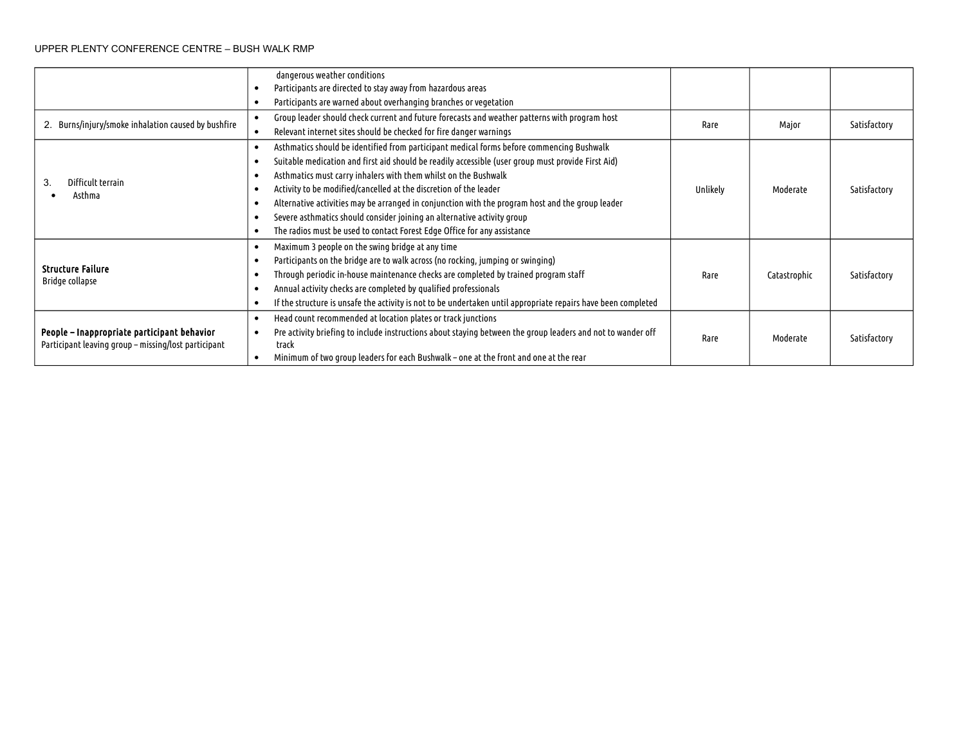## UPPER PLENTY CONFERENCE CENTRE – BUSH WALK RMP

|                                                                                                     | dangerous weather conditions<br>Participants are directed to stay away from hazardous areas                                                                                                                                                                                                                                                                                                                                                                                                                                                                                                        |          |              |              |
|-----------------------------------------------------------------------------------------------------|----------------------------------------------------------------------------------------------------------------------------------------------------------------------------------------------------------------------------------------------------------------------------------------------------------------------------------------------------------------------------------------------------------------------------------------------------------------------------------------------------------------------------------------------------------------------------------------------------|----------|--------------|--------------|
|                                                                                                     | Participants are warned about overhanging branches or vegetation                                                                                                                                                                                                                                                                                                                                                                                                                                                                                                                                   |          |              |              |
| 2. Burns/injury/smoke inhalation caused by bushfire                                                 | Group leader should check current and future forecasts and weather patterns with program host<br>Relevant internet sites should be checked for fire danger warnings                                                                                                                                                                                                                                                                                                                                                                                                                                | Rare     | Major        | Satisfactory |
| Difficult terrain<br>3.<br>Asthma                                                                   | Asthmatics should be identified from participant medical forms before commencing Bushwalk<br>Suitable medication and first aid should be readily accessible (user group must provide First Aid)<br>Asthmatics must carry inhalers with them whilst on the Bushwalk<br>Activity to be modified/cancelled at the discretion of the leader<br>Alternative activities may be arranged in conjunction with the program host and the group leader<br>Severe asthmatics should consider joining an alternative activity group<br>The radios must be used to contact Forest Edge Office for any assistance | Unlikely | Moderate     | Satisfactory |
| <b>Structure Failure</b><br>Bridge collapse                                                         | Maximum 3 people on the swing bridge at any time<br>Participants on the bridge are to walk across (no rocking, jumping or swinging)<br>Through periodic in-house maintenance checks are completed by trained program staff<br>Annual activity checks are completed by qualified professionals<br>If the structure is unsafe the activity is not to be undertaken until appropriate repairs have been completed                                                                                                                                                                                     | Rare     | Catastrophic | Satisfactory |
| People – Inappropriate participant behavior<br>Participant leaving group – missing/lost participant | Head count recommended at location plates or track junctions<br>Pre activity briefing to include instructions about staying between the group leaders and not to wander off<br>track<br>Minimum of two group leaders for each Bushwalk – one at the front and one at the rear                                                                                                                                                                                                                                                                                                                      | Rare     | Moderate     | Satisfactory |